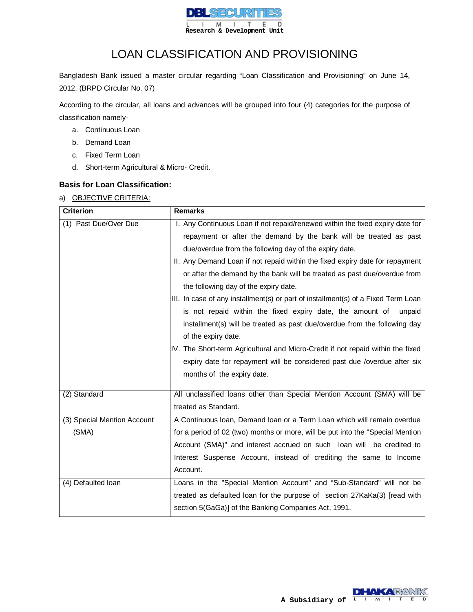

# LOAN CLASSIFICATION AND PROVISIONING

Bangladesh Bank issued a master circular regarding "Loan Classification and Provisioning" on June 14, 2012. (BRPD Circular No. 07)

According to the circular, all loans and advances will be grouped into four (4) categories for the purpose of classification namely-

- a. Continuous Loan
- b. Demand Loan
- c. Fixed Term Loan
- d. Short-term Agricultural & Micro- Credit.

# **Basis for Loan Classification:**

### a) OBJECTIVE CRITERIA:

| <b>Criterion</b>            | <b>Remarks</b>                                                                    |  |  |  |  |  |  |
|-----------------------------|-----------------------------------------------------------------------------------|--|--|--|--|--|--|
| (1) Past Due/Over Due       | I. Any Continuous Loan if not repaid/renewed within the fixed expiry date for     |  |  |  |  |  |  |
|                             | repayment or after the demand by the bank will be treated as past                 |  |  |  |  |  |  |
|                             | due/overdue from the following day of the expiry date.                            |  |  |  |  |  |  |
|                             | II. Any Demand Loan if not repaid within the fixed expiry date for repayment      |  |  |  |  |  |  |
|                             | or after the demand by the bank will be treated as past due/overdue from          |  |  |  |  |  |  |
|                             | the following day of the expiry date.                                             |  |  |  |  |  |  |
|                             | III. In case of any installment(s) or part of installment(s) of a Fixed Term Loan |  |  |  |  |  |  |
|                             | is not repaid within the fixed expiry date, the amount of<br>unpaid               |  |  |  |  |  |  |
|                             | installment(s) will be treated as past due/overdue from the following day         |  |  |  |  |  |  |
|                             | of the expiry date.                                                               |  |  |  |  |  |  |
|                             | IV. The Short-term Agricultural and Micro-Credit if not repaid within the fixed   |  |  |  |  |  |  |
|                             | expiry date for repayment will be considered past due /overdue after six          |  |  |  |  |  |  |
|                             | months of the expiry date.                                                        |  |  |  |  |  |  |
|                             |                                                                                   |  |  |  |  |  |  |
| (2) Standard                | All unclassified loans other than Special Mention Account (SMA) will be           |  |  |  |  |  |  |
|                             | treated as Standard.                                                              |  |  |  |  |  |  |
| (3) Special Mention Account | A Continuous Ioan, Demand Ioan or a Term Loan which will remain overdue           |  |  |  |  |  |  |
| (SMA)                       | for a period of 02 (two) months or more, will be put into the "Special Mention    |  |  |  |  |  |  |
|                             | Account (SMA)" and interest accrued on such loan will be credited to              |  |  |  |  |  |  |
|                             | Interest Suspense Account, instead of crediting the same to Income                |  |  |  |  |  |  |
|                             | Account.                                                                          |  |  |  |  |  |  |
| (4) Defaulted Ioan          | Loans in the "Special Mention Account" and "Sub-Standard" will not be             |  |  |  |  |  |  |
|                             | treated as defaulted loan for the purpose of section 27KaKa(3) [read with         |  |  |  |  |  |  |
|                             | section 5(GaGa)] of the Banking Companies Act, 1991.                              |  |  |  |  |  |  |

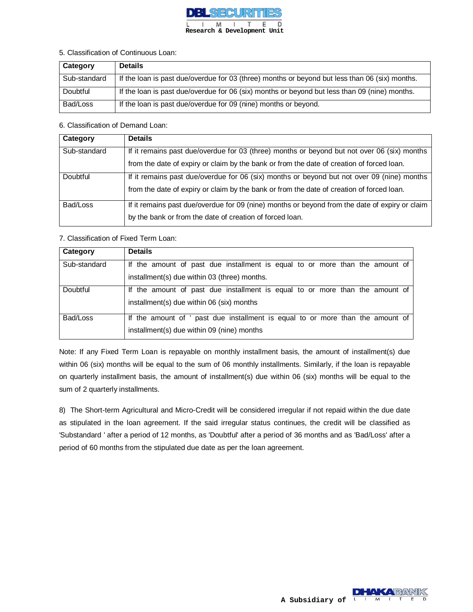

#### 5. Classification of Continuous Loan:

| Category     | <b>Details</b>                                                                                 |
|--------------|------------------------------------------------------------------------------------------------|
| Sub-standard | If the loan is past due/overdue for 03 (three) months or beyond but less than 06 (six) months. |
| Doubtful     | If the loan is past due/overdue for 06 (six) months or beyond but less than 09 (nine) months.  |
| Bad/Loss     | If the loan is past due/overdue for 09 (nine) months or beyond.                                |

#### 6. Classification of Demand Loan:

| Category     | <b>Details</b>                                                                                 |
|--------------|------------------------------------------------------------------------------------------------|
| Sub-standard | If it remains past due/overdue for 03 (three) months or beyond but not over 06 (six) months    |
|              | from the date of expiry or claim by the bank or from the date of creation of forced loan.      |
| Doubtful     | If it remains past due/overdue for 06 (six) months or beyond but not over 09 (nine) months     |
|              | from the date of expiry or claim by the bank or from the date of creation of forced loan.      |
| Bad/Loss     | If it remains past due/overdue for 09 (nine) months or beyond from the date of expiry or claim |
|              | by the bank or from the date of creation of forced loan.                                       |

### 7. Classification of Fixed Term Loan:

| Category     | <b>Details</b>                                                                 |
|--------------|--------------------------------------------------------------------------------|
| Sub-standard | If the amount of past due installment is equal to or more than the amount of   |
|              | installment(s) due within 03 (three) months.                                   |
| Doubtful     | If the amount of past due installment is equal to or more than the amount of   |
|              | installment(s) due within 06 (six) months                                      |
| Bad/Loss     | If the amount of ' past due installment is equal to or more than the amount of |
|              | installment(s) due within 09 (nine) months                                     |

Note: If any Fixed Term Loan is repayable on monthly installment basis, the amount of installment(s) due within 06 (six) months will be equal to the sum of 06 monthly installments. Similarly, if the loan is repayable on quarterly installment basis, the amount of installment(s) due within 06 (six) months will be equal to the sum of 2 quarterly installments.

8) The Short-term Agricultural and Micro-Credit will be considered irregular if not repaid within the due date as stipulated in the loan agreement. If the said irregular status continues, the credit will be classified as 'Substandard ' after a period of 12 months, as 'Doubtful' after a period of 36 months and as 'Bad/Loss' after a period of 60 months from the stipulated due date as per the loan agreement.

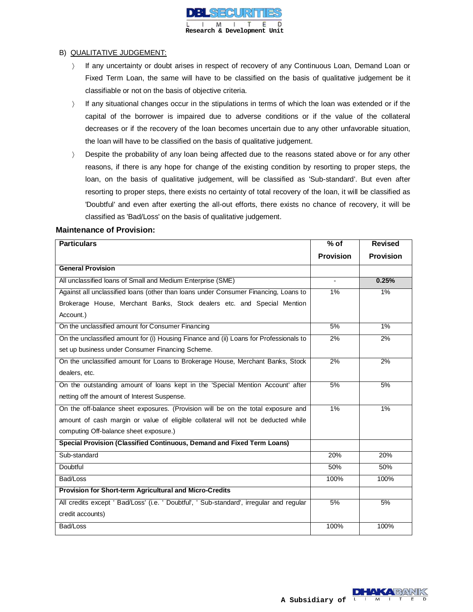

#### B) QUALITATIVE JUDGEMENT:

- If any uncertainty or doubt arises in respect of recovery of any Continuous Loan, Demand Loan or Fixed Term Loan, the same will have to be classified on the basis of qualitative judgement be it classifiable or not on the basis of objective criteria.
- If any situational changes occur in the stipulations in terms of which the loan was extended or if the capital of the borrower is impaired due to adverse conditions or if the value of the collateral decreases or if the recovery of the loan becomes uncertain due to any other unfavorable situation, the loan will have to be classified on the basis of qualitative judgement.
- Bespite the probability of any loan being affected due to the reasons stated above or for any other reasons, if there is any hope for change of the existing condition by resorting to proper steps, the loan, on the basis of qualitative judgement, will be classified as 'Sub-standard'. But even after resorting to proper steps, there exists no certainty of total recovery of the loan, it will be classified as 'Doubtful' and even after exerting the all-out efforts, there exists no chance of recovery, it will be classified as 'Bad/Loss' on the basis of qualitative judgement.

### **Maintenance of Provision:**

| <b>Particulars</b>                                                                       | $%$ of           | <b>Revised</b>   |
|------------------------------------------------------------------------------------------|------------------|------------------|
|                                                                                          | <b>Provision</b> | <b>Provision</b> |
| <b>General Provision</b>                                                                 |                  |                  |
| All unclassified loans of Small and Medium Enterprise (SME)                              |                  | 0.25%            |
| Against all unclassified loans (other than loans under Consumer Financing, Loans to      | $1\%$            | $1\%$            |
| Brokerage House, Merchant Banks, Stock dealers etc. and Special Mention                  |                  |                  |
| Account.)                                                                                |                  |                  |
| On the unclassified amount for Consumer Financing                                        | 5%               | $1\%$            |
| On the unclassified amount for (i) Housing Finance and (ii) Loans for Professionals to   | 2%               | 2%               |
| set up business under Consumer Financing Scheme.                                         |                  |                  |
| On the unclassified amount for Loans to Brokerage House, Merchant Banks, Stock           | 2%               | 2%               |
| dealers, etc.                                                                            |                  |                  |
| On the outstanding amount of loans kept in the 'Special Mention Account' after           | 5%               | 5%               |
| netting off the amount of Interest Suspense.                                             |                  |                  |
| On the off-balance sheet exposures. (Provision will be on the total exposure and         | $1\%$            | $1\%$            |
| amount of cash margin or value of eligible collateral will not be deducted while         |                  |                  |
| computing Off-balance sheet exposure.)                                                   |                  |                  |
| Special Provision (Classified Continuous, Demand and Fixed Term Loans)                   |                  |                  |
| Sub-standard                                                                             | 20%              | 20%              |
| Doubtful                                                                                 | 50%              | 50%              |
| Bad/Loss                                                                                 | 100%             | 100%             |
| Provision for Short-term Agricultural and Micro-Credits                                  |                  |                  |
| All credits except ' Bad/Loss' (i.e. ' Doubtful', ' Sub-standard', irregular and regular | 5%               | 5%               |
| credit accounts)                                                                         |                  |                  |
| Bad/Loss                                                                                 | 100%             | 100%             |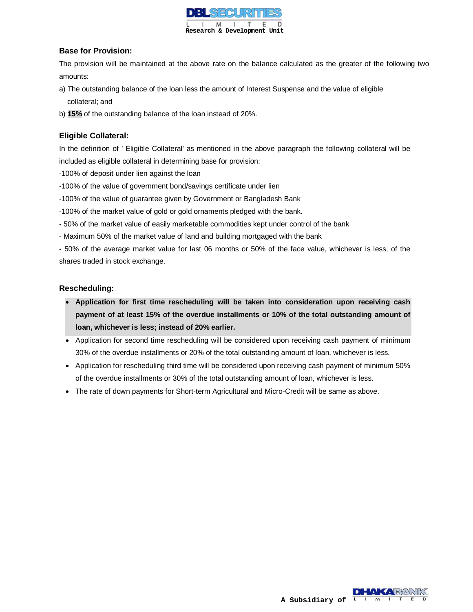

## **Base for Provision:**

The provision will be maintained at the above rate on the balance calculated as the greater of the following two amounts:

- a) The outstanding balance of the loan less the amount of Interest Suspense and the value of eligible collateral; and
- b) **15%** of the outstanding balance of the loan instead of 20%.

# **Eligible Collateral:**

In the definition of ' Eligible Collateral' as mentioned in the above paragraph the following collateral will be included as eligible collateral in determining base for provision:

- -100% of deposit under lien against the loan
- -100% of the value of government bond/savings certificate under lien
- -100% of the value of guarantee given by Government or Bangladesh Bank
- -100% of the market value of gold or gold ornaments pledged with the bank.
- 50% of the market value of easily marketable commodities kept under control of the bank
- Maximum 50% of the market value of land and building mortgaged with the bank

- 50% of the average market value for last 06 months or 50% of the face value, whichever is less, of the shares traded in stock exchange.

## **Rescheduling:**

- **Application for first time rescheduling will be taken into consideration upon receiving cash payment of at least 15% of the overdue installments or 10% of the total outstanding amount of loan, whichever is less; instead of 20% earlier.**
- Application for second time rescheduling will be considered upon receiving cash payment of minimum 30% of the overdue installments or 20% of the total outstanding amount of loan, whichever is less.
- Application for rescheduling third time will be considered upon receiving cash payment of minimum 50% of the overdue installments or 30% of the total outstanding amount of loan, whichever is less.
- The rate of down payments for Short-term Agricultural and Micro-Credit will be same as above.

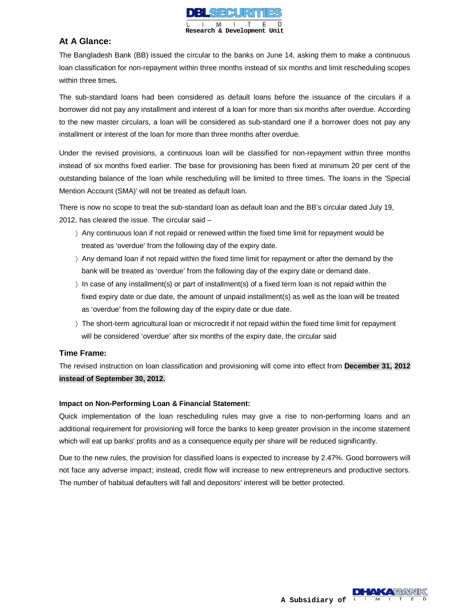

# **At A Glance:**

The Bangladesh Bank (BB) issued the circular to the banks on June 14, asking them to make a continuous loan classification for non-repayment within three months instead of six months and limit rescheduling scopes within three times.

The sub-standard loans had been considered as default loans before the issuance of the circulars if a borrower did not pay any installment and interest of a loan for more than six months after overdue. According to the new master circulars, a loan will be considered as sub-standard one if a borrower does not pay any installment or interest of the loan for more than three months after overdue.

Under the revised provisions, a continuous loan will be classified for non-repayment within three months instead of six months fixed earlier. The base for provisioning has been fixed at minimum 20 per cent of the outstanding balance of the loan while rescheduling will be limited to three times. The loans in the 'Special Mention Account (SMA)' will not be treated as default loan.

There is now no scope to treat the sub-standard loan as default loan and the BB's circular dated July 19, 2012, has cleared the issue. The circular said –

- Any continuous loan if not repaid or renewed within the fixed time limit for repayment would be treated as 'overdue' from the following day of the expiry date.
- $\rightarrow$  Any demand loan if not repaid within the fixed time limit for repayment or after the demand by the bank will be treated as 'overdue' from the following day of the expiry date or demand date.
- $\rangle$  In case of any installment(s) or part of installment(s) of a fixed term loan is not repaid within the fixed expiry date or due date, the amount of unpaid installment(s) as well as the loan will be treated as 'overdue' from the following day of the expiry date or due date.
- The short-term agricultural loan or microcredit if not repaid within the fixed time limit for repayment will be considered 'overdue' after six months of the expiry date, the circular said

### **Time Frame:**

The revised instruction on loan classification and provisioning will come into effect from **December 31, 2012 instead of September 30, 2012.**

### **Impact on Non-Performing Loan & Financial Statement:**

Quick implementation of the loan rescheduling rules may give a rise to non-performing loans and an additional requirement for provisioning will force the banks to keep greater provision in the income statement which will eat up banks' profits and as a consequence equity per share will be reduced significantly.

Due to the new rules, the provision for classified loans is expected to increase by 2.47%. Good borrowers will not face any adverse impact; instead, credit flow will increase to new entrepreneurs and productive sectors. The number of habitual defaulters will fall and depositors' interest will be better protected.

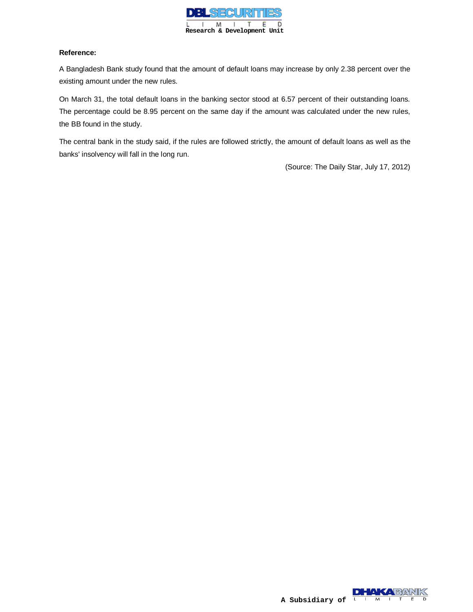

### **Reference:**

A Bangladesh Bank study found that the amount of default loans may increase by only 2.38 percent over the existing amount under the new rules.

On March 31, the total default loans in the banking sector stood at 6.57 percent of their outstanding loans. The percentage could be 8.95 percent on the same day if the amount was calculated under the new rules, the BB found in the study.

The central bank in the study said, if the rules are followed strictly, the amount of default loans as well as the banks' insolvency will fall in the long run.

(Source: The Daily Star, July 17, 2012)

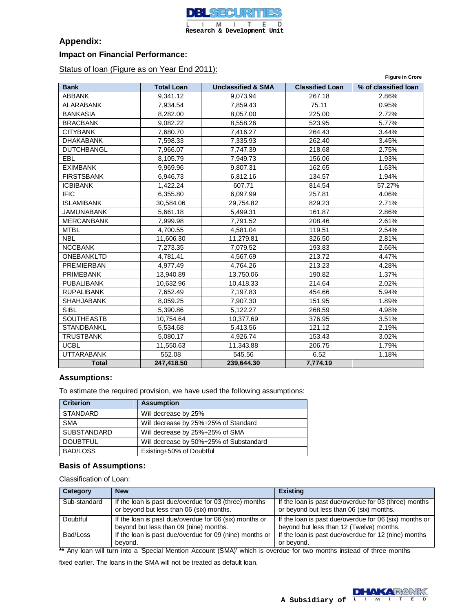

# **Appendix:**

### **Impact on Financial Performance:**

Status of loan (Figure as on Year End 2011):

| <b>Figure in Crore</b> |                   |                               |                        |                      |  |  |  |
|------------------------|-------------------|-------------------------------|------------------------|----------------------|--|--|--|
| <b>Bank</b>            | <b>Total Loan</b> | <b>Unclassified &amp; SMA</b> | <b>Classified Loan</b> | % of classified loan |  |  |  |
| <b>ABBANK</b>          | 9.341.12          | 9,073.94                      | 267.18                 | 2.86%                |  |  |  |
| <b>ALARABANK</b>       | 7,934.54          | 7,859.43                      | 75.11                  | 0.95%                |  |  |  |
| <b>BANKASIA</b>        | 8.282.00          | 8,057.00                      | 225.00                 | 2.72%                |  |  |  |
| <b>BRACBANK</b>        | 9,082.22          | 8,558.26                      | 523.95                 | 5.77%                |  |  |  |
| <b>CITYBANK</b>        | 7,680.70          | 7,416.27                      | 264.43                 | 3.44%                |  |  |  |
| <b>DHAKABANK</b>       | 7,598.33          | 7,335.93                      | 262.40                 | 3.45%                |  |  |  |
| <b>DUTCHBANGL</b>      | 7,966.07          | 7,747.39                      | 218.68                 | 2.75%                |  |  |  |
| EBL                    | 8,105.79          | 7,949.73                      | 156.06                 | 1.93%                |  |  |  |
| <b>EXIMBANK</b>        | 9,969.96          | 9,807.31                      | 162.65                 | 1.63%                |  |  |  |
| <b>FIRSTSBANK</b>      | 6,946.73          | 6,812.16                      | 134.57                 | 1.94%                |  |  |  |
| <b>ICBIBANK</b>        | 1,422.24          | 607.71                        | 814.54                 | 57.27%               |  |  |  |
| <b>IFIC</b>            | 6,355.80          | 6,097.99                      | 257.81                 | 4.06%                |  |  |  |
| <b>ISLAMIBANK</b>      | 30,584.06         | 29,754.82                     | 829.23                 | 2.71%                |  |  |  |
| <b>JAMUNABANK</b>      | 5,661.18          | 5,499.31                      | 161.87                 | 2.86%                |  |  |  |
| <b>MERCANBANK</b>      | 7,999.98          | 7,791.52                      | 208.46                 | 2.61%                |  |  |  |
| <b>MTBL</b>            | 4,700.55          | 4,581.04                      | 119.51                 | 2.54%                |  |  |  |
| <b>NBL</b>             | 11,606.30         | 11,279.81                     | 326.50                 | 2.81%                |  |  |  |
| <b>NCCBANK</b>         | 7,273.35          | 7,079.52                      | 193.83                 | 2.66%                |  |  |  |
| ONEBANKLTD             | 4,781.41          | 4,567.69                      | 213.72                 | 4.47%                |  |  |  |
| <b>PREMIERBAN</b>      | 4,977.49          | 4,764.26                      | 213.23                 | 4.28%                |  |  |  |
| <b>PRIMEBANK</b>       | 13,940.89         | 13,750.06                     | 190.82                 | 1.37%                |  |  |  |
| <b>PUBALIBANK</b>      | 10,632.96         | 10,418.33                     | 214.64                 | 2.02%                |  |  |  |
| <b>RUPALIBANK</b>      | 7,652.49          | 7,197.83                      | 454.66                 | 5.94%                |  |  |  |
| <b>SHAHJABANK</b>      | 8,059.25          | 7,907.30                      | 151.95                 | 1.89%                |  |  |  |
| <b>SIBL</b>            | 5,390.86          | 5,122.27                      | 268.59                 | 4.98%                |  |  |  |
| <b>SOUTHEASTB</b>      | 10,754.64         | 10,377.69                     | 376.95                 | 3.51%                |  |  |  |
| <b>STANDBANKL</b>      | 5,534.68          | 5,413.56                      | 121.12                 | 2.19%                |  |  |  |
| <b>TRUSTBANK</b>       | 5,080.17          | 4,926.74                      | 153.43                 | 3.02%                |  |  |  |
| <b>UCBL</b>            | 11,550.63         | 11,343.88                     | 206.75                 | 1.79%                |  |  |  |
| <b>UTTARABANK</b>      | 552.08            | 545.56                        | 6.52                   | 1.18%                |  |  |  |
| <b>Total</b>           | 247,418.50        | 239,644.30                    | 7,774.19               |                      |  |  |  |

## **Assumptions:**

To estimate the required provision, we have used the following assumptions:

| <b>Criterion</b>   | <b>Assumption</b>                       |
|--------------------|-----------------------------------------|
| <b>STANDARD</b>    | Will decrease by 25%                    |
| <b>SMA</b>         | Will decrease by 25%+25% of Standard    |
| <b>SUBSTANDARD</b> | Will decrease by 25%+25% of SMA         |
| <b>DOUBTFUL</b>    | Will decrease by 50%+25% of Substandard |
| BAD/LOSS           | Existing+50% of Doubtful                |

## **Basis of Assumptions:**

Classification of Loan:

| Category     | <b>New</b>                                                                                        | <b>Existing</b>                                                                                   |
|--------------|---------------------------------------------------------------------------------------------------|---------------------------------------------------------------------------------------------------|
| Sub-standard | If the loan is past due/overdue for 03 (three) months<br>or beyond but less than 06 (six) months. | If the loan is past due/overdue for 03 (three) months<br>or beyond but less than 06 (six) months. |
| Doubtful     | If the loan is past due/overdue for 06 (six) months or                                            | If the loan is past due/overdue for 06 (six) months or                                            |
|              | beyond but less than 09 (nine) months.                                                            | beyond but less than 12 (Twelve) months.                                                          |
| Bad/Loss     | If the loan is past due/overdue for 09 (nine) months or                                           | If the loan is past due/overdue for 12 (nine) months                                              |
|              | beyond.                                                                                           | or beyond.                                                                                        |

**\*\*** Any loan will turn into a 'Special Mention Account (SMA)' which is overdue for two months instead of three months

fixed earlier. The loans in the SMA will not be treated as default loan.